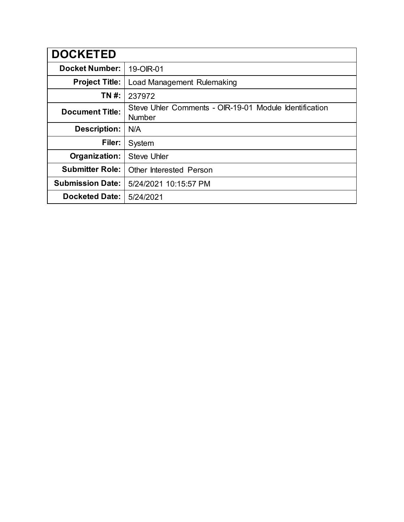| <b>DOCKETED</b>         |                                                                         |
|-------------------------|-------------------------------------------------------------------------|
| <b>Docket Number:</b>   | 19-OIR-01                                                               |
| <b>Project Title:</b>   | Load Management Rulemaking                                              |
| TN #:                   | 237972                                                                  |
| <b>Document Title:</b>  | Steve Uhler Comments - OIR-19-01 Module Identification<br><b>Number</b> |
| <b>Description:</b>     | N/A                                                                     |
| Filer:                  | System                                                                  |
| Organization:           | <b>Steve Uhler</b>                                                      |
| <b>Submitter Role:</b>  | <b>Other Interested Person</b>                                          |
| <b>Submission Date:</b> | 5/24/2021 10:15:57 PM                                                   |
| <b>Docketed Date:</b>   | 5/24/2021                                                               |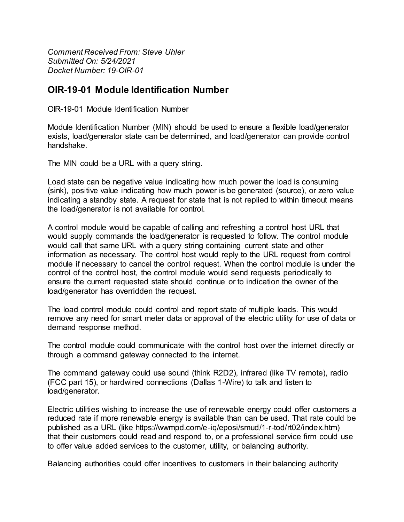*Comment Received From: Steve Uhler Submitted On: 5/24/2021 Docket Number: 19-OIR-01*

## **OIR-19-01 Module Identification Number**

OIR-19-01 Module Identification Number

Module Identification Number (MIN) should be used to ensure a flexible load/generator exists, load/generator state can be determined, and load/generator can provide control handshake.

The MIN could be a URL with a query string.

Load state can be negative value indicating how much power the load is consuming (sink), positive value indicating how much power is be generated (source), or zero value indicating a standby state. A request for state that is not replied to within timeout means the load/generator is not available for control.

A control module would be capable of calling and refreshing a control host URL that would supply commands the load/generator is requested to follow. The control module would call that same URL with a query string containing current state and other information as necessary. The control host would reply to the URL request from control module if necessary to cancel the control request. When the control module is under the control of the control host, the control module would send requests periodically to ensure the current requested state should continue or to indication the owner of the load/generator has overridden the request.

The load control module could control and report state of multiple loads. This would remove any need for smart meter data or approval of the electric utility for use of data or demand response method.

The control module could communicate with the control host over the internet directly or through a command gateway connected to the internet.

The command gateway could use sound (think R2D2), infrared (like TV remote), radio (FCC part 15), or hardwired connections (Dallas 1-Wire) to talk and listen to load/generator.

Electric utilities wishing to increase the use of renewable energy could offer customers a reduced rate if more renewable energy is available than can be used. That rate could be published as a URL (like https://wwmpd.com/e-iq/eposi/smud/1-r-tod/rt02/index.htm) that their customers could read and respond to, or a professional service firm could use to offer value added services to the customer, utility, or balancing authority.

Balancing authorities could offer incentives to customers in their balancing authority